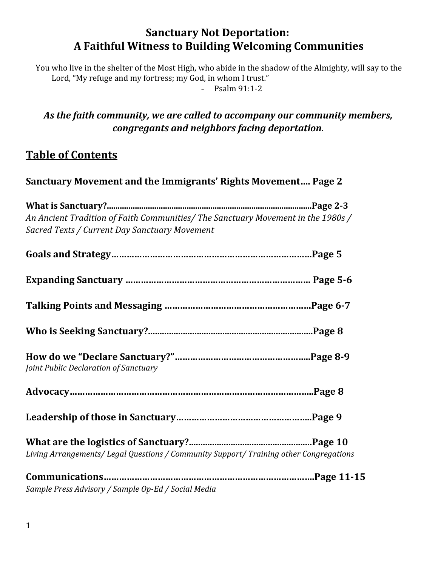# **Sanctuary Not Deportation: A Faithful Witness to Building Welcoming Communities**

You who live in the shelter of the Most High, who abide in the shadow of the Almighty, will say to the Lord, "My refuge and my fortress; my God, in whom I trust."

 $-$  Psalm 91:1-2

# *As the faith community, we are called to accompany our community members, congregants and neighbors facing deportation.*

# **Table of Contents**

# **Sanctuary Movement and the Immigrants' Rights Movement…. Page 2**

**What is Sanctuary?...............................................................................................Page 2-3** *An Ancient Tradition of Faith Communities/ The Sanctuary Movement in the 1980s / Sacred Texts / Current Day Sanctuary Movement*

| Joint Public Declaration of Sanctuary                                                  |  |
|----------------------------------------------------------------------------------------|--|
|                                                                                        |  |
|                                                                                        |  |
| Living Arrangements/ Legal Questions / Community Support/ Training other Congregations |  |
| Sample Press Advisory / Sample Op-Ed / Social Media                                    |  |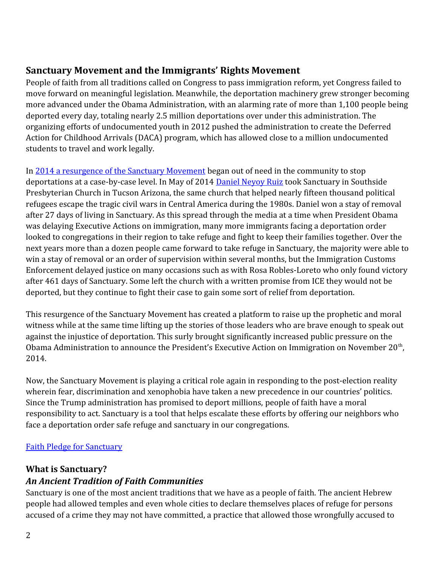## **Sanctuary Movement and the Immigrants' Rights Movement**

People of faith from all traditions called on Congress to pass immigration reform, yet Congress failed to move forward on meaningful legislation. Meanwhile, the deportation machinery grew stronger becoming more advanced under the Obama Administration, with an alarming rate of more than 1,100 people being deported every day, totaling nearly 2.5 million deportations over under this administration. The organizing efforts of undocumented youth in 2012 pushed the administration to create the Deferred Action for Childhood Arrivals (DACA) program, which has allowed close to a million undocumented students to travel and work legally.

In [2014 a resurgence of the Sanctuary Movement](http://sanctuary2014.org/) began out of need in the community to stop deportations at a case-by-case level. In May of 2014 [Daniel Neyoy Ruiz](http://action.groundswell-mvmt.org/petitions/tell-the-obama-administration-close-daniel-neyoy-ruiz-s-deportation-case) took Sanctuary in Southside Presbyterian Church in Tucson Arizona, the same church that helped nearly fifteen thousand political refugees escape the tragic civil wars in Central America during the 1980s. Daniel won a stay of removal after 27 days of living in Sanctuary. As this spread through the media at a time when President Obama was delaying Executive Actions on immigration, many more immigrants facing a deportation order looked to congregations in their region to take refuge and fight to keep their families together. Over the next years more than a dozen people came forward to take refuge in Sanctuary, the majority were able to win a stay of removal or an order of supervision within several months, but the Immigration Customs Enforcement delayed justice on many occasions such as with Rosa Robles-Loreto who only found victory after 461 days of Sanctuary. Some left the church with a written promise from ICE they would not be deported, but they continue to fight their case to gain some sort of relief from deportation.

This resurgence of the Sanctuary Movement has created a platform to raise up the prophetic and moral witness while at the same time lifting up the stories of those leaders who are brave enough to speak out against the injustice of deportation. This surly brought significantly increased public pressure on the Obama Administration to announce the President's Executive Action on Immigration on November  $20<sup>th</sup>$ , 2014.

Now, the Sanctuary Movement is playing a critical role again in responding to the post-election reality wherein fear, discrimination and xenophobia have taken a new precedence in our countries' politics. Since the Trump administration has promised to deport millions, people of faith have a moral responsibility to act. Sanctuary is a tool that helps escalate these efforts by offering our neighbors who face a deportation order safe refuge and sanctuary in our congregations.

## [Faith Pledge for Sanctuary](https://action.groundswell-mvmt.org/petitions/we-pledge-to-resist-deportation-and-discrimination-through-sanctuary?source=facebook-share-button&time=1479250776)

### **What is Sanctuary?**

# *An Ancient Tradition of Faith Communities*

Sanctuary is one of the most ancient traditions that we have as a people of faith. The ancient Hebrew people had allowed temples and even whole cities to declare themselves places of refuge for persons accused of a crime they may not have committed, a practice that allowed those wrongfully accused to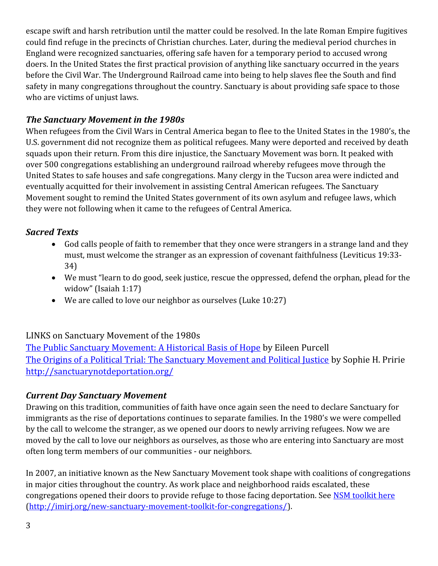escape swift and harsh retribution until the matter could be resolved. In the late Roman Empire fugitives could find refuge in the precincts of Christian churches. Later, during the medieval period churches in England were recognized sanctuaries, offering safe haven for a temporary period to accused wrong doers. In the United States the first practical provision of anything like sanctuary occurred in the years before the Civil War. The Underground Railroad came into being to help slaves flee the South and find safety in many congregations throughout the country. Sanctuary is about providing safe space to those who are victims of unjust laws.

### *The Sanctuary Movement in the 1980s*

When refugees from the Civil Wars in Central America began to flee to the United States in the 1980's, the U.S. government did not recognize them as political refugees. Many were deported and received by death squads upon their return. From this dire injustice, the Sanctuary Movement was born. It peaked with over 500 congregations establishing an underground railroad whereby refugees move through the United States to safe houses and safe congregations. Many clergy in the Tucson area were indicted and eventually acquitted for their involvement in assisting Central American refugees. The Sanctuary Movement sought to remind the United States government of its own asylum and refugee laws, which they were not following when it came to the refugees of Central America.

### *Sacred Texts*

- God calls people of faith to remember that they once were strangers in a strange land and they must, must welcome the stranger as an expression of covenant faithfulness (Leviticus 19:33- 34)
- We must "learn to do good, seek justice, rescue the oppressed, defend the orphan, plead for the widow" (Isaiah 1:17)
- We are called to love our neighbor as ourselves (Luke 10:27)

### LINKS on Sanctuary Movement of the 1980s

[The Public Sanctuary Movement: A Historical Basis of Hope](mailto:http://www.share-elsalvador.org/wp-content/uploads/Sanctuary-Book-1-FOOTNOTED.pdf) by Eileen Purcell [The Origins of a Political Trial: The Sanctuary Movement and Political Justice](mailto:http://digitalcommons.law.yale.edu/cgi/viewcontent.cgi%3Farticle%3D1040%26context%3Dyjlh) by Sophie H. Pririe <http://sanctuarynotdeportation.org/>

### *Current Day Sanctuary Movement*

Drawing on this tradition, communities of faith have once again seen the need to declare Sanctuary for immigrants as the rise of deportations continues to separate families. In the 1980's we were compelled by the call to welcome the stranger, as we opened our doors to newly arriving refugees. Now we are moved by the call to love our neighbors as ourselves, as those who are entering into Sanctuary are most often long term members of our communities - our neighbors.

In 2007, an initiative known as the New Sanctuary Movement took shape with coalitions of congregations in major cities throughout the country. As work place and neighborhood raids escalated, these congregations opened their doors to provide refuge to those facing deportation. See [NSM toolkit here](mailto:http://imirj.org/new-sanctuary-movement-toolkit-for-congregations/) [\(http://imirj.org/new-sanctuary-movement-toolkit-for-congregations/\)](http://imirj.org/new-sanctuary-movement-toolkit-for-congregations/).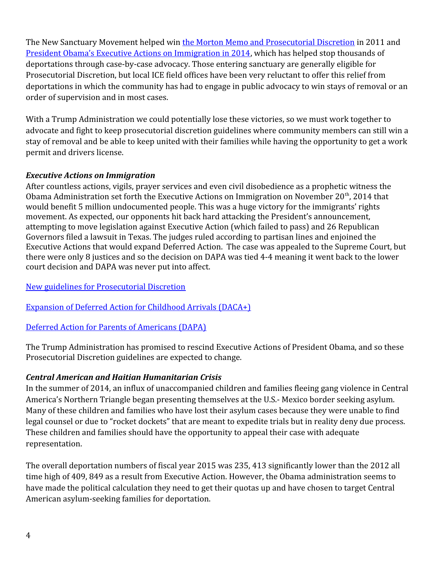The New Sanctuary Movement helped win [the Morton Memo and Prosecutorial Discretion](mailto:http://www.ice.gov/doclib/secure-communities/pdf/prosecutorial-discretion-memo.pdf) in 2011 and [President Obama's Executive Actions on Immigration in 2014,](http://www.uscis.gov/immigrationaction) which has helped stop thousands of deportations through case-by-case advocacy. Those entering sanctuary are generally eligible for Prosecutorial Discretion, but local ICE field offices have been very reluctant to offer this relief from deportations in which the community has had to engage in public advocacy to win stays of removal or an order of supervision and in most cases.

With a Trump Administration we could potentially lose these victories, so we must work together to advocate and fight to keep prosecutorial discretion guidelines where community members can still win a stay of removal and be able to keep united with their families while having the opportunity to get a work permit and drivers license.

#### *Executive Actions on Immigration*

After countless actions, vigils, prayer services and even civil disobedience as a prophetic witness the Obama Administration set forth the Executive Actions on Immigration on November  $20<sup>th</sup>$ , 2014 that would benefit 5 million undocumented people. This was a huge victory for the immigrants' rights movement. As expected, our opponents hit back hard attacking the President's announcement, attempting to move legislation against Executive Action (which failed to pass) and 26 Republican Governors filed a lawsuit in Texas. The judges ruled according to partisan lines and enjoined the Executive Actions that would expand Deferred Action. The case was appealed to the Supreme Court, but there were only 8 justices and so the decision on DAPA was tied 4-4 meaning it went back to the lower court decision and DAPA was never put into affect.

#### [New guidelines for Prosecutorial Discretion](http://www.dhs.gov/publication/immigration-executive-actions)

[Expansion of Deferred Action for Childhood Arrivals \(DACA+\)](http://www.dhs.gov/sites/default/files/publications/14_1120_memo_deferred_action_0.pdf)

#### [Deferred Action for Parents of Americans \(DAPA\)](http://www.dhs.gov/sites/default/files/publications/14_1120_memo_deferred_action_1.pdf)

The Trump Administration has promised to rescind Executive Actions of President Obama, and so these Prosecutorial Discretion guidelines are expected to change.

### *Central American and Haitian Humanitarian Crisis*

In the summer of 2014, an influx of unaccompanied children and families fleeing gang violence in Central America's Northern Triangle began presenting themselves at the U.S.- Mexico border seeking asylum. Many of these children and families who have lost their asylum cases because they were unable to find legal counsel or due to "rocket dockets" that are meant to expedite trials but in reality deny due process. These children and families should have the opportunity to appeal their case with adequate representation.

The overall deportation numbers of fiscal year 2015 was 235, 413 significantly lower than the 2012 all time high of 409, 849 as a result from Executive Action. However, the Obama administration seems to have made the political calculation they need to get their quotas up and have chosen to target Central American asylum-seeking families for deportation.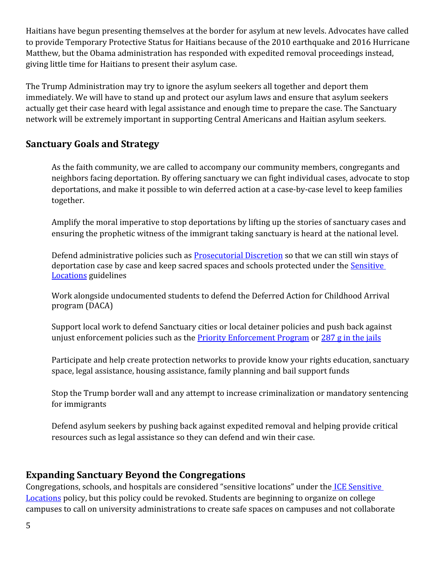Haitians have begun presenting themselves at the border for asylum at new levels. Advocates have called to provide Temporary Protective Status for Haitians because of the 2010 earthquake and 2016 Hurricane Matthew, but the Obama administration has responded with expedited removal proceedings instead, giving little time for Haitians to present their asylum case.

The Trump Administration may try to ignore the asylum seekers all together and deport them immediately. We will have to stand up and protect our asylum laws and ensure that asylum seekers actually get their case heard with legal assistance and enough time to prepare the case. The Sanctuary network will be extremely important in supporting Central Americans and Haitian asylum seekers.

### **Sanctuary Goals and Strategy**

As the faith community, we are called to accompany our community members, congregants and neighbors facing deportation. By offering sanctuary we can fight individual cases, advocate to stop deportations, and make it possible to win deferred action at a case-by-case level to keep families together.

Amplify the moral imperative to stop deportations by lifting up the stories of sanctuary cases and ensuring the prophetic witness of the immigrant taking sanctuary is heard at the national level.

Defend administrative policies such as [Prosecutorial Discretion](https://www.dhs.gov/sites/default/files/publications/14_1120_memo_prosecutorial_discretion.pdf) so that we can still win stays of deportation case by case and keep sacred spaces and schools protected under the **Sensitive** [Locations](https://www.ice.gov/doclib/ero-outreach/pdf/10029.2-policy.pdf) guidelines

Work alongside undocumented students to defend the Deferred Action for Childhood Arrival program (DACA)

Support local work to defend Sanctuary cities or local detainer policies and push back against unjust enforcement policies such as the [Priority Enforcement Program](https://www.ice.gov/pep) or [287 g in the jails](https://www.ice.gov/factsheets/287g)

Participate and help create protection networks to provide know your rights education, sanctuary space, legal assistance, housing assistance, family planning and bail support funds

Stop the Trump border wall and any attempt to increase criminalization or mandatory sentencing for immigrants

Defend asylum seekers by pushing back against expedited removal and helping provide critical resources such as legal assistance so they can defend and win their case.

### **Expanding Sanctuary Beyond the Congregations**

Congregations, schools, and hospitals are considered "sensitive locations" under the ICE Sensitive [Locations](http://www.ice.gov/doclib/ero-outreach/pdf/10029.2-policy.pdf) policy, but this policy could be revoked. Students are beginning to organize on college campuses to call on university administrations to create safe spaces on campuses and not collaborate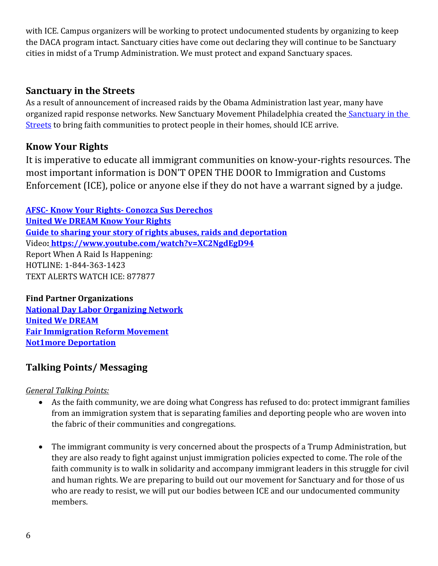with ICE. Campus organizers will be working to protect undocumented students by organizing to keep the DACA program intact. Sanctuary cities have come out declaring they will continue to be Sanctuary cities in midst of a Trump Administration. We must protect and expand Sanctuary spaces.

### **Sanctuary in the Streets**

As a result of announcement of increased raids by the Obama Administration last year, many have organized rapid response networks. New Sanctuary Movement Philadelphia created the Sanctuary in the [Streets](http://sanctuaryphiladelphia.org/1962-2/) to bring faith communities to protect people in their homes, should ICE arrive.

## **Know Your Rights**

It is imperative to educate all immigrant communities on know-your-rights resources. The most important information is DON'T OPEN THE DOOR to Immigration and Customs Enforcement (ICE), police or anyone else if they do not have a warrant signed by a judge.

**[AFSC- Know Your Rights- Conozca Sus Derechos](https://afsc.org/category/topic/know-your-rights) [United We DREAM Know Your Rights](http://unitedwedream.org/blog/en-caso-de-redadas-que-puedes-hacer/) [Guide to sharing your story of rights abuses, raids and deportation](http://173.236.53.234/~nnirrorg/drupal/sites/default/files/questionnaire_100_storiesfinal_0.pdf)** Video**[: https://www.youtube.com/watch?v=XC2NgdEgD94](https://www.youtube.com/watch?v=XC2NgdEgD94)** Report When A Raid Is Happening: HOTLINE: 1-844-363-1423 TEXT ALERTS WATCH ICE: 877877

**Find Partner Organizations [National Day Labor Organizing Network](http://www.ndlon.org/en/our-members/find-a-member) [United We DREAM](http://unitedwedream.org/) [Fair Immigration Reform Movement](http://www.fairimmigration.org/) [Not1more Deportation](http://www.notonemoredeportation.com/)**

## **Talking Points/ Messaging**

*General Talking Points:*

- As the faith community, we are doing what Congress has refused to do: protect immigrant families from an immigration system that is separating families and deporting people who are woven into the fabric of their communities and congregations.
- The immigrant community is very concerned about the prospects of a Trump Administration, but they are also ready to fight against unjust immigration policies expected to come. The role of the faith community is to walk in solidarity and accompany immigrant leaders in this struggle for civil and human rights. We are preparing to build out our movement for Sanctuary and for those of us who are ready to resist, we will put our bodies between ICE and our undocumented community members.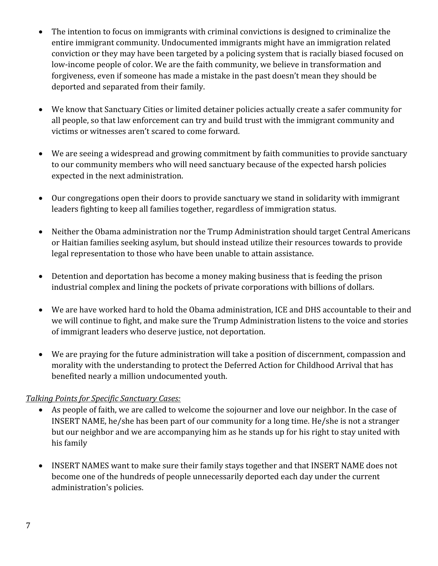- The intention to focus on immigrants with criminal convictions is designed to criminalize the entire immigrant community. Undocumented immigrants might have an immigration related conviction or they may have been targeted by a policing system that is racially biased focused on low-income people of color. We are the faith community, we believe in transformation and forgiveness, even if someone has made a mistake in the past doesn't mean they should be deported and separated from their family.
- We know that Sanctuary Cities or limited detainer policies actually create a safer community for all people, so that law enforcement can try and build trust with the immigrant community and victims or witnesses aren't scared to come forward.
- We are seeing a widespread and growing commitment by faith communities to provide sanctuary to our community members who will need sanctuary because of the expected harsh policies expected in the next administration.
- Our congregations open their doors to provide sanctuary we stand in solidarity with immigrant leaders fighting to keep all families together, regardless of immigration status.
- Neither the Obama administration nor the Trump Administration should target Central Americans or Haitian families seeking asylum, but should instead utilize their resources towards to provide legal representation to those who have been unable to attain assistance.
- Detention and deportation has become a money making business that is feeding the prison industrial complex and lining the pockets of private corporations with billions of dollars.
- We are have worked hard to hold the Obama administration, ICE and DHS accountable to their and we will continue to fight, and make sure the Trump Administration listens to the voice and stories of immigrant leaders who deserve justice, not deportation.
- We are praying for the future administration will take a position of discernment, compassion and morality with the understanding to protect the Deferred Action for Childhood Arrival that has benefited nearly a million undocumented youth.

### *Talking Points for Specific Sanctuary Cases:*

- As people of faith, we are called to welcome the sojourner and love our neighbor. In the case of INSERT NAME, he/she has been part of our community for a long time. He/she is not a stranger but our neighbor and we are accompanying him as he stands up for his right to stay united with his family
- INSERT NAMES want to make sure their family stays together and that INSERT NAME does not become one of the hundreds of people unnecessarily deported each day under the current administration's policies.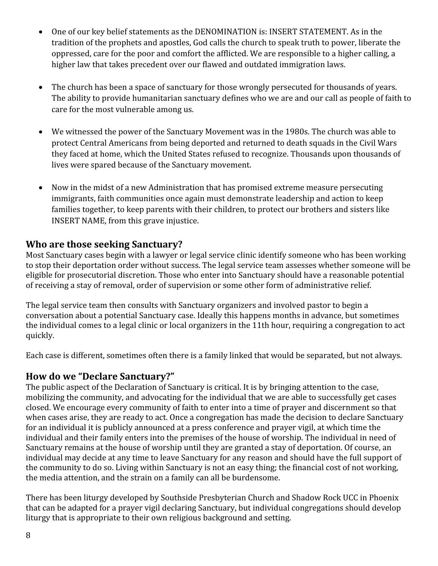- One of our key belief statements as the DENOMINATION is: INSERT STATEMENT. As in the tradition of the prophets and apostles, God calls the church to speak truth to power, liberate the oppressed, care for the poor and comfort the afflicted. We are responsible to a higher calling, a higher law that takes precedent over our flawed and outdated immigration laws.
- The church has been a space of sanctuary for those wrongly persecuted for thousands of years. The ability to provide humanitarian sanctuary defines who we are and our call as people of faith to care for the most vulnerable among us.
- We witnessed the power of the Sanctuary Movement was in the 1980s. The church was able to protect Central Americans from being deported and returned to death squads in the Civil Wars they faced at home, which the United States refused to recognize. Thousands upon thousands of lives were spared because of the Sanctuary movement.
- Now in the midst of a new Administration that has promised extreme measure persecuting immigrants, faith communities once again must demonstrate leadership and action to keep families together, to keep parents with their children, to protect our brothers and sisters like INSERT NAME, from this grave injustice.

### **Who are those seeking Sanctuary?**

Most Sanctuary cases begin with a lawyer or legal service clinic identify someone who has been working to stop their deportation order without success. The legal service team assesses whether someone will be eligible for prosecutorial discretion. Those who enter into Sanctuary should have a reasonable potential of receiving a stay of removal, order of supervision or some other form of administrative relief.

The legal service team then consults with Sanctuary organizers and involved pastor to begin a conversation about a potential Sanctuary case. Ideally this happens months in advance, but sometimes the individual comes to a legal clinic or local organizers in the 11th hour, requiring a congregation to act quickly.

Each case is different, sometimes often there is a family linked that would be separated, but not always.

### **How do we "Declare Sanctuary?"**

The public aspect of the Declaration of Sanctuary is critical. It is by bringing attention to the case, mobilizing the community, and advocating for the individual that we are able to successfully get cases closed. We encourage every community of faith to enter into a time of prayer and discernment so that when cases arise, they are ready to act. Once a congregation has made the decision to declare Sanctuary for an individual it is publicly announced at a press conference and prayer vigil, at which time the individual and their family enters into the premises of the house of worship. The individual in need of Sanctuary remains at the house of worship until they are granted a stay of deportation. Of course, an individual may decide at any time to leave Sanctuary for any reason and should have the full support of the community to do so. Living within Sanctuary is not an easy thing; the financial cost of not working, the media attention, and the strain on a family can all be burdensome.

There has been liturgy developed by Southside Presbyterian Church and Shadow Rock UCC in Phoenix that can be adapted for a prayer vigil declaring Sanctuary, but individual congregations should develop liturgy that is appropriate to their own religious background and setting.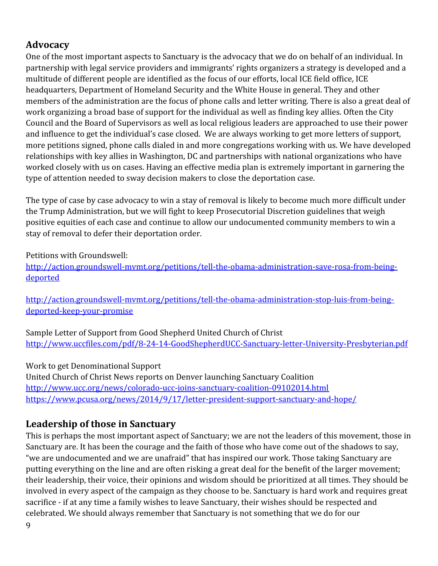# **Advocacy**

One of the most important aspects to Sanctuary is the advocacy that we do on behalf of an individual. In partnership with legal service providers and immigrants' rights organizers a strategy is developed and a multitude of different people are identified as the focus of our efforts, local ICE field office, ICE headquarters, Department of Homeland Security and the White House in general. They and other members of the administration are the focus of phone calls and letter writing. There is also a great deal of work organizing a broad base of support for the individual as well as finding key allies. Often the City Council and the Board of Supervisors as well as local religious leaders are approached to use their power and influence to get the individual's case closed. We are always working to get more letters of support, more petitions signed, phone calls dialed in and more congregations working with us. We have developed relationships with key allies in Washington, DC and partnerships with national organizations who have worked closely with us on cases. Having an effective media plan is extremely important in garnering the type of attention needed to sway decision makers to close the deportation case.

The type of case by case advocacy to win a stay of removal is likely to become much more difficult under the Trump Administration, but we will fight to keep Prosecutorial Discretion guidelines that weigh positive equities of each case and continue to allow our undocumented community members to win a stay of removal to defer their deportation order.

Petitions with Groundswell:

[http://action.groundswell-mvmt.org/petitions/tell-the-obama-administration-save-rosa-from-being](http://action.groundswell-mvmt.org/petitions/tell-the-obama-administration-save-rosa-from-being-deported)[deported](http://action.groundswell-mvmt.org/petitions/tell-the-obama-administration-save-rosa-from-being-deported)

[http://action.groundswell-mvmt.org/petitions/tell-the-obama-administration-stop-luis-from-being](http://action.groundswell-mvmt.org/petitions/tell-the-obama-administration-stop-luis-from-being-deported-keep-your-promise)[deported-keep-your-promise](http://action.groundswell-mvmt.org/petitions/tell-the-obama-administration-stop-luis-from-being-deported-keep-your-promise)

Sample Letter of Support from Good Shepherd United Church of Christ <http://www.uccfiles.com/pdf/8-24-14-GoodShepherdUCC-Sanctuary-letter-University-Presbyterian.pdf>

Work to get Denominational Support United Church of Christ News reports on Denver launching Sanctuary Coalition <http://www.ucc.org/news/colorado-ucc-joins-sanctuary-coalition-09102014.html> <https://www.pcusa.org/news/2014/9/17/letter-president-support-sanctuary-and-hope/>

# **Leadership of those in Sanctuary**

This is perhaps the most important aspect of Sanctuary; we are not the leaders of this movement, those in Sanctuary are. It has been the courage and the faith of those who have come out of the shadows to say, "we are undocumented and we are unafraid" that has inspired our work. Those taking Sanctuary are putting everything on the line and are often risking a great deal for the benefit of the larger movement; their leadership, their voice, their opinions and wisdom should be prioritized at all times. They should be involved in every aspect of the campaign as they choose to be. Sanctuary is hard work and requires great sacrifice - if at any time a family wishes to leave Sanctuary, their wishes should be respected and celebrated. We should always remember that Sanctuary is not something that we do for our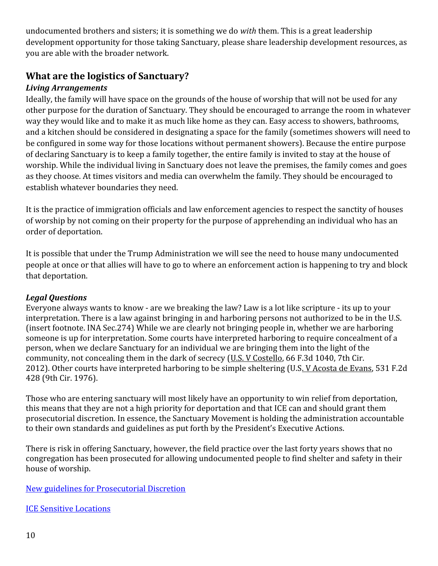undocumented brothers and sisters; it is something we do *with* them. This is a great leadership development opportunity for those taking Sanctuary, please share leadership development resources, as you are able with the broader network.

# **What are the logistics of Sanctuary?**

#### *Living Arrangements*

Ideally, the family will have space on the grounds of the house of worship that will not be used for any other purpose for the duration of Sanctuary. They should be encouraged to arrange the room in whatever way they would like and to make it as much like home as they can. Easy access to showers, bathrooms, and a kitchen should be considered in designating a space for the family (sometimes showers will need to be configured in some way for those locations without permanent showers). Because the entire purpose of declaring Sanctuary is to keep a family together, the entire family is invited to stay at the house of worship. While the individual living in Sanctuary does not leave the premises, the family comes and goes as they choose. At times visitors and media can overwhelm the family. They should be encouraged to establish whatever boundaries they need.

It is the practice of immigration officials and law enforcement agencies to respect the sanctity of houses of worship by not coming on their property for the purpose of apprehending an individual who has an order of deportation.

It is possible that under the Trump Administration we will see the need to house many undocumented people at once or that allies will have to go to where an enforcement action is happening to try and block that deportation.

#### *Legal Questions*

Everyone always wants to know - are we breaking the law? Law is a lot like scripture - its up to your interpretation. There is a law against bringing in and harboring persons not authorized to be in the U.S. (insert footnote. INA Sec.274) While we are clearly not bringing people in, whether we are harboring someone is up for interpretation. Some courts have interpreted harboring to require concealment of a person, when we declare Sanctuary for an individual we are bringing them into the light of the community, not concealing them in the dark of secrecy (U.S. V Costello, 66 F.3d 1040, 7th Cir. 2012). Other courts have interpreted harboring to be simple sheltering (U.S. V Acosta de Evans, 531 F.2d 428 (9th Cir. 1976).

Those who are entering sanctuary will most likely have an opportunity to win relief from deportation, this means that they are not a high priority for deportation and that ICE can and should grant them prosecutorial discretion. In essence, the Sanctuary Movement is holding the administration accountable to their own standards and guidelines as put forth by the President's Executive Actions.

There is risk in offering Sanctuary, however, the field practice over the last forty years shows that no congregation has been prosecuted for allowing undocumented people to find shelter and safety in their house of worship.

#### [New guidelines for Prosecutorial Discretion](http://www.dhs.gov/publication/immigration-executive-actions)

[ICE Sensitive Locations](http://www.ice.gov/doclib/ero-outreach/pdf/10029.2-policy.pdf)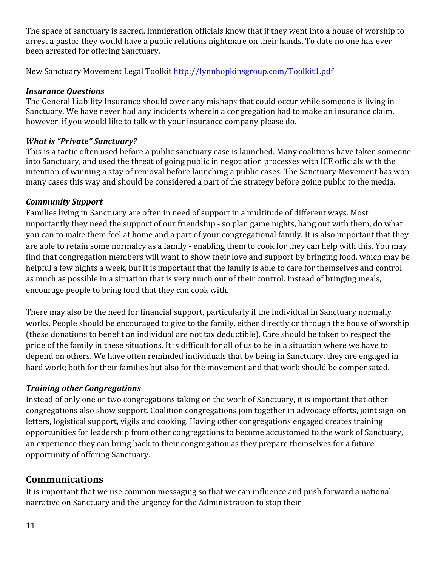The space of sanctuary is sacred. Immigration officials know that if they went into a house of worship to arrest a pastor they would have a public relations nightmare on their hands. To date no one has ever been arrested for offering Sanctuary.

New Sanctuary Movement Legal Toolkit<http://lynnhopkinsgroup.com/Toolkit1.pdf>

#### *Insurance Questions*

The General Liability Insurance should cover any mishaps that could occur while someone is living in Sanctuary. We have never had any incidents wherein a congregation had to make an insurance claim, however, if you would like to talk with your insurance company please do.

### *What is "Private" Sanctuary?*

This is a tactic often used before a public sanctuary case is launched. Many coalitions have taken someone into Sanctuary, and used the threat of going public in negotiation processes with ICE officials with the intention of winning a stay of removal before launching a public cases. The Sanctuary Movement has won many cases this way and should be considered a part of the strategy before going public to the media.

### *Community Support*

Families living in Sanctuary are often in need of support in a multitude of different ways. Most importantly they need the support of our friendship - so plan game nights, hang out with them, do what you can to make them feel at home and a part of your congregational family. It is also important that they are able to retain some normalcy as a family - enabling them to cook for they can help with this. You may find that congregation members will want to show their love and support by bringing food, which may be helpful a few nights a week, but it is important that the family is able to care for themselves and control as much as possible in a situation that is very much out of their control. Instead of bringing meals, encourage people to bring food that they can cook with.

There may also be the need for financial support, particularly if the individual in Sanctuary normally works. People should be encouraged to give to the family, either directly or through the house of worship (these donations to benefit an individual are not tax deductible). Care should be taken to respect the pride of the family in these situations. It is difficult for all of us to be in a situation where we have to depend on others. We have often reminded individuals that by being in Sanctuary, they are engaged in hard work; both for their families but also for the movement and that work should be compensated.

### *Training other Congregations*

Instead of only one or two congregations taking on the work of Sanctuary, it is important that other congregations also show support. Coalition congregations join together in advocacy efforts, joint sign-on letters, logistical support, vigils and cooking. Having other congregations engaged creates training opportunities for leadership from other congregations to become accustomed to the work of Sanctuary, an experience they can bring back to their congregation as they prepare themselves for a future opportunity of offering Sanctuary.

### **Communications**

It is important that we use common messaging so that we can influence and push forward a national narrative on Sanctuary and the urgency for the Administration to stop their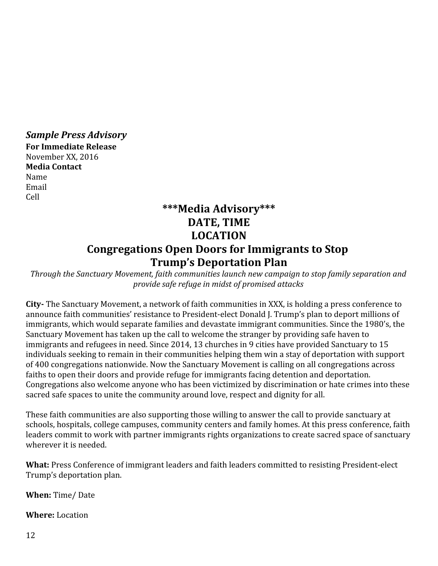*Sample Press Advisory* **For Immediate Release** November XX, 2016 **Media Contact** Name Email Cell

# **\*\*\*Media Advisory\*\*\* DATE, TIME LOCATION Congregations Open Doors for Immigrants to Stop Trump's Deportation Plan**

*Through the Sanctuary Movement, faith communities launch new campaign to stop family separation and provide safe refuge in midst of promised attacks*

**City-** The Sanctuary Movement, a network of faith communities in XXX, is holding a press conference to announce faith communities' resistance to President-elect Donald J. Trump's plan to deport millions of immigrants, which would separate families and devastate immigrant communities. Since the 1980's, the Sanctuary Movement has taken up the call to welcome the stranger by providing safe haven to immigrants and refugees in need. Since 2014, 13 churches in 9 cities have provided Sanctuary to 15 individuals seeking to remain in their communities helping them win a stay of deportation with support of 400 congregations nationwide. Now the Sanctuary Movement is calling on all congregations across faiths to open their doors and provide refuge for immigrants facing detention and deportation. Congregations also welcome anyone who has been victimized by discrimination or hate crimes into these sacred safe spaces to unite the community around love, respect and dignity for all.

These faith communities are also supporting those willing to answer the call to provide sanctuary at schools, hospitals, college campuses, community centers and family homes. At this press conference, faith leaders commit to work with partner immigrants rights organizations to create sacred space of sanctuary wherever it is needed.

**What:** Press Conference of immigrant leaders and faith leaders committed to resisting President-elect Trump's deportation plan.

**When:** Time/ Date

**Where:** Location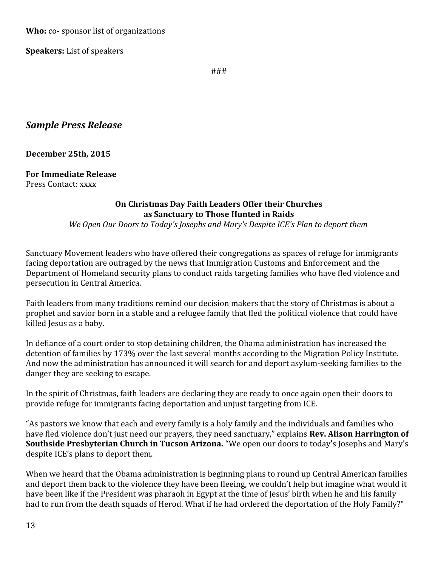**Who:** co- sponsor list of organizations

**Speakers:** List of speakers

###

### *Sample Press Release*

#### **December 25th, 2015**

#### **For Immediate Release**

Press Contact: xxxx

#### **On Christmas Day Faith Leaders Offer their Churches as Sanctuary to Those Hunted in Raids**

*We Open Our Doors to Today's Josephs and Mary's Despite ICE's Plan to deport them*

Sanctuary Movement leaders who have offered their congregations as spaces of refuge for immigrants facing deportation are outraged by the news that Immigration Customs and Enforcement and the Department of Homeland security plans to conduct raids targeting families who have fled violence and persecution in Central America.

Faith leaders from many traditions remind our decision makers that the story of Christmas is about a prophet and savior born in a stable and a refugee family that fled the political violence that could have killed Jesus as a baby.

In defiance of a court order to stop detaining children, the Obama administration has increased the detention of families by 173% over the last several months according to the Migration Policy Institute. And now the administration has announced it will search for and deport asylum-seeking families to the danger they are seeking to escape.

In the spirit of Christmas, faith leaders are declaring they are ready to once again open their doors to provide refuge for immigrants facing deportation and unjust targeting from ICE.

"As pastors we know that each and every family is a holy family and the individuals and families who have fled violence don't just need our prayers, they need sanctuary," explains **Rev. Alison Harrington of Southside Presbyterian Church in Tucson Arizona.** "We open our doors to today's Josephs and Mary's despite ICE's plans to deport them.

When we heard that the Obama administration is beginning plans to round up Central American families and deport them back to the violence they have been fleeing, we couldn't help but imagine what would it have been like if the President was pharaoh in Egypt at the time of Jesus' birth when he and his family had to run from the death squads of Herod. What if he had ordered the deportation of the Holy Family?"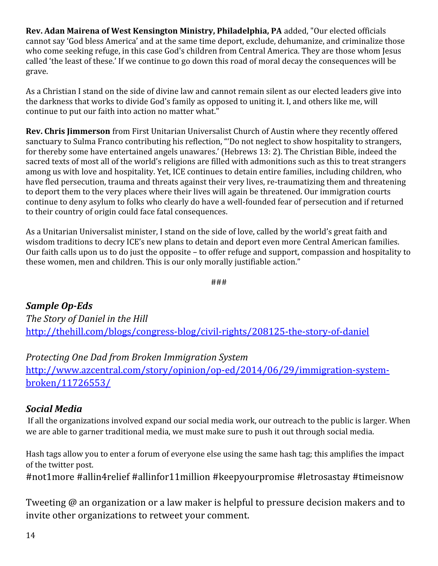**Rev. Adan Mairena of West Kensington Ministry, Philadelphia, PA** added, "Our elected officials cannot say 'God bless America' and at the same time deport, exclude, dehumanize, and criminalize those who come seeking refuge, in this case God's children from Central America. They are those whom Jesus called 'the least of these.' If we continue to go down this road of moral decay the consequences will be grave.

As a Christian I stand on the side of divine law and cannot remain silent as our elected leaders give into the darkness that works to divide God's family as opposed to uniting it. I, and others like me, will continue to put our faith into action no matter what."

**Rev. Chris Jimmerson** from First Unitarian Universalist Church of Austin where they recently offered sanctuary to Sulma Franco contributing his reflection, "'Do not neglect to show hospitality to strangers, for thereby some have entertained angels unawares.' (Hebrews 13: 2). The Christian Bible, indeed the sacred texts of most all of the world's religions are filled with admonitions such as this to treat strangers among us with love and hospitality. Yet, ICE continues to detain entire families, including children, who have fled persecution, trauma and threats against their very lives, re-traumatizing them and threatening to deport them to the very places where their lives will again be threatened. Our immigration courts continue to deny asylum to folks who clearly do have a well-founded fear of persecution and if returned to their country of origin could face fatal consequences.

As a Unitarian Universalist minister, I stand on the side of love, called by the world's great faith and wisdom traditions to decry ICE's new plans to detain and deport even more Central American families. Our faith calls upon us to do just the opposite – to offer refuge and support, compassion and hospitality to these women, men and children. This is our only morally justifiable action."

###

*Sample Op-Eds The Story of Daniel in the Hill* <http://thehill.com/blogs/congress-blog/civil-rights/208125-the-story-of-daniel>

*Protecting One Dad from Broken Immigration System*

[http://www.azcentral.com/story/opinion/op-ed/2014/06/29/immigration-system](http://www.azcentral.com/story/opinion/op-ed/2014/06/29/immigration-system-broken/11726553/)[broken/11726553/](http://www.azcentral.com/story/opinion/op-ed/2014/06/29/immigration-system-broken/11726553/)

## *Social Media*

 If all the organizations involved expand our social media work, our outreach to the public is larger. When we are able to garner traditional media, we must make sure to push it out through social media.

Hash tags allow you to enter a forum of everyone else using the same hash tag; this amplifies the impact of the twitter post.

#not1more #allin4relief #allinfor11million #keepyourpromise #letrosastay #timeisnow

Tweeting @ an organization or a law maker is helpful to pressure decision makers and to invite other organizations to retweet your comment.